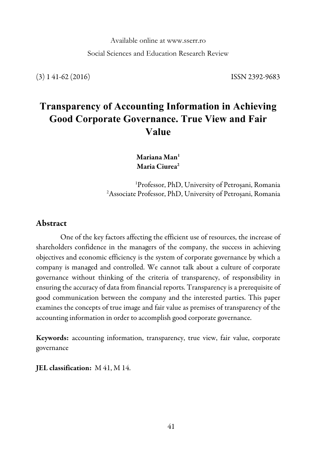Available online at www.sserr.ro

Social Sciences and Education Research Review

(3) 1 41-62 (2016) ISSN 2392-9683

# **Transparency of Accounting Information in Achieving Good Corporate Governance. True View and Fair Value**

Mariana Man<sup>1</sup> Maria Ciurea<sup>2</sup>

1 Professor, PhD, University of Petroșani, Romania 2 Associate Professor, PhD, University of Petroșani, Romania

### Abstract

One of the key factors affecting the efficient use of resources, the increase of shareholders confidence in the managers of the company, the success in achieving objectives and economic efficiency is the system of corporate governance by which a company is managed and controlled. We cannot talk about a culture of corporate governance without thinking of the criteria of transparency, of responsibility in ensuring the accuracy of data from financial reports. Transparency is a prerequisite of good communication between the company and the interested parties. This paper examines the concepts of true image and fair value as premises of transparency of the accounting information in order to accomplish good corporate governance.

Keywords: accounting information, transparency, true view, fair value, corporate governance

JEL classification: M 41, M 14.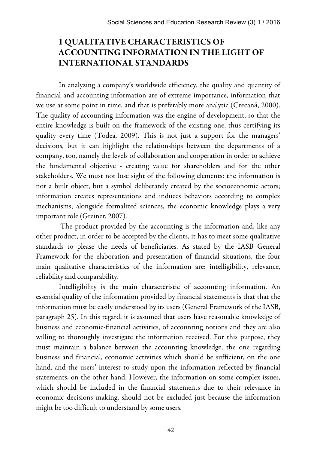### 1 QUALITATIVE CHARACTERISTICS OF ACCOUNTING INFORMATION IN THE LIGHT OF INTERNATIONAL STANDARDS

In analyzing a company's worldwide efficiency, the quality and quantity of financial and accounting information are of extreme importance, information that we use at some point in time, and that is preferably more analytic (Crecană, 2000). The quality of accounting information was the engine of development, so that the entire knowledge is built on the framework of the existing one, thus certifying its quality every time (Todea, 2009). This is not just a support for the managers' decisions, but it can highlight the relationships between the departments of a company, too, namely the levels of collaboration and cooperation in order to achieve the fundamental objective - creating value for shareholders and for the other stakeholders. We must not lose sight of the following elements: the information is not a built object, but a symbol deliberately created by the socioeconomic actors; information creates representations and induces behaviors according to complex mechanisms; alongside formalized sciences, the economic knowledge plays a very important role (Greiner, 2007).

The product provided by the accounting is the information and, like any other product, in order to be accepted by the clients, it has to meet some qualitative standards to please the needs of beneficiaries. As stated by the IASB General Framework for the elaboration and presentation of financial situations, the four main qualitative characteristics of the information are: intelligibility, relevance, reliability and comparability.

Intelligibility is the main characteristic of accounting information. An essential quality of the information provided by financial statements is that that the information must be easily understood by its users (General Framework of the IASB, paragraph 25). In this regard, it is assumed that users have reasonable knowledge of business and economic-financial activities, of accounting notions and they are also willing to thoroughly investigate the information received. For this purpose, they must maintain a balance between the accounting knowledge, the one regarding business and financial, economic activities which should be sufficient, on the one hand, and the users' interest to study upon the information reflected by financial statements, on the other hand. However, the information on some complex issues, which should be included in the financial statements due to their relevance in economic decisions making, should not be excluded just because the information might be too difficult to understand by some users.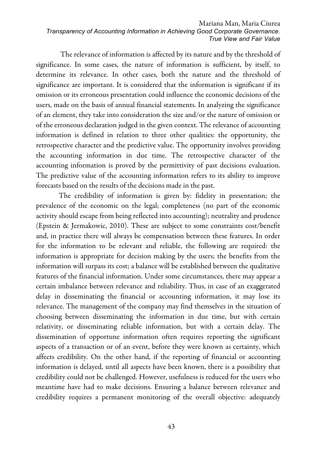The relevance of information is affected by its nature and by the threshold of significance. In some cases, the nature of information is sufficient, by itself, to determine its relevance. In other cases, both the nature and the threshold of significance are important. It is considered that the information is significant if its omission or its erroneous presentation could influence the economic decisions of the users, made on the basis of annual financial statements. In analyzing the significance of an element, they take into consideration the size and/or the nature of omission or of the erroneous declaration judged in the given context. The relevance of accounting information is defined in relation to three other qualities: the opportunity, the retrospective character and the predictive value. The opportunity involves providing the accounting information in due time. The retrospective character of the accounting information is proved by the permittivity of past decisions evaluation. The predictive value of the accounting information refers to its ability to improve forecasts based on the results of the decisions made in the past.

The credibility of information is given by: fidelity in presentation; the prevalence of the economic on the legal; completeness (no part of the economic activity should escape from being reflected into accounting); neutrality and prudence (Epstein & Jermakowic, 2010). These are subject to some constraints cost/benefit and, in practice there will always be compensation between these features. In order for the information to be relevant and reliable, the following are required: the information is appropriate for decision making by the users; the benefits from the information will surpass its cost; a balance will be established between the qualitative features of the financial information. Under some circumstances, there may appear a certain imbalance between relevance and reliability. Thus, in case of an exaggerated delay in disseminating the financial or accounting information, it may lose its relevance. The management of the company may find themselves in the situation of choosing between disseminating the information in due time, but with certain relativity, or disseminating reliable information, but with a certain delay. The dissemination of opportune information often requires reporting the significant aspects of a transaction or of an event, before they were known as certainty, which affects credibility. On the other hand, if the reporting of financial or accounting information is delayed, until all aspects have been known, there is a possibility that credibility could not be challenged. However, usefulness is reduced for the users who meantime have had to make decisions. Ensuring a balance between relevance and credibility requires a permanent monitoring of the overall objective: adequately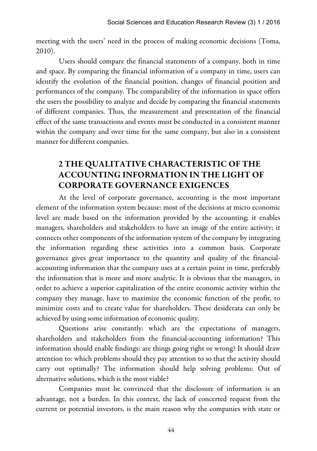meeting with the users' need in the process of making economic decisions (Toma, 2010).

Users should compare the financial statements of a company, both in time and space. By comparing the financial information of a company in time, users can identify the evolution of the financial position, changes of financial position and performances of the company. The comparability of the information in space offers the users the possibility to analyze and decide by comparing the financial statements of different companies. Thus, the measurement and presentation of the financial effect of the same transactions and events must be conducted in a consistent manner within the company and over time for the same company, but also in a consistent manner for different companies.

# 2 THE QUALITATIVE CHARACTERISTIC OF THE ACCOUNTING INFORMATION IN THE LIGHT OF CORPORATE GOVERNANCE EXIGENCES

At the level of corporate governance, accounting is the most important element of the information system because: most of the decisions at micro economic level are made based on the information provided by the accounting; it enables managers, shareholders and stakeholders to have an image of the entire activity; it connects other components of the information system of the company by integrating the information regarding these activities into a common basis. Corporate governance gives great importance to the quantity and quality of the financialaccounting information that the company uses at a certain point in time, preferably the information that is more and more analytic. It is obvious that the managers, in order to achieve a superior capitalization of the entire economic activity within the company they manage, have to maximize the economic function of the profit, to minimize costs and to create value for shareholders. These desiderata can only be achieved by using some information of economic quality.

Questions arise constantly: which are the expectations of managers, shareholders and stakeholders from the financial-accounting information? This information should enable findings: are things going right or wrong? It should draw attention to: which problems should they pay attention to so that the activity should carry out optimally? The information should help solving problems: Out of alternative solutions, which is the most viable?

Companies must be convinced that the disclosure of information is an advantage, not a burden. In this context, the lack of concerted request from the current or potential investors, is the main reason why the companies with state or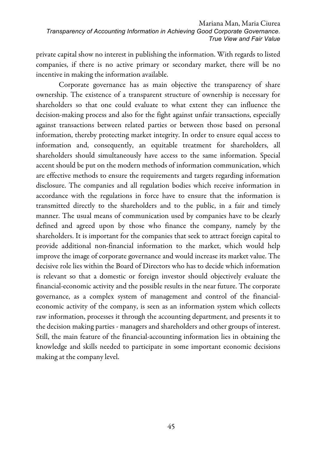private capital show no interest in publishing the information. With regards to listed companies, if there is no active primary or secondary market, there will be no incentive in making the information available.

Corporate governance has as main objective the transparency of share ownership. The existence of a transparent structure of ownership is necessary for shareholders so that one could evaluate to what extent they can influence the decision-making process and also for the fight against unfair transactions, especially against transactions between related parties or between those based on personal information, thereby protecting market integrity. In order to ensure equal access to information and, consequently, an equitable treatment for shareholders, all shareholders should simultaneously have access to the same information. Special accent should be put on the modern methods of information communication, which are effective methods to ensure the requirements and targets regarding information disclosure. The companies and all regulation bodies which receive information in accordance with the regulations in force have to ensure that the information is transmitted directly to the shareholders and to the public, in a fair and timely manner. The usual means of communication used by companies have to be clearly defined and agreed upon by those who finance the company, namely by the shareholders. It is important for the companies that seek to attract foreign capital to provide additional non-financial information to the market, which would help improve the image of corporate governance and would increase its market value. The decisive role lies within the Board of Directors who has to decide which information is relevant so that a domestic or foreign investor should objectively evaluate the financial-economic activity and the possible results in the near future. The corporate governance, as a complex system of management and control of the financialeconomic activity of the company, is seen as an information system which collects raw information, processes it through the accounting department, and presents it to the decision making parties - managers and shareholders and other groups of interest. Still, the main feature of the financial-accounting information lies in obtaining the knowledge and skills needed to participate in some important economic decisions making at the company level.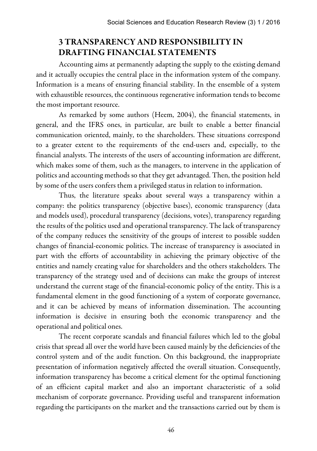# 3 TRANSPARENCY AND RESPONSIBILITY IN DRAFTING FINANCIAL STATEMENTS

Accounting aims at permanently adapting the supply to the existing demand and it actually occupies the central place in the information system of the company. Information is a means of ensuring financial stability. In the ensemble of a system with exhaustible resources, the continuous regenerative information tends to become the most important resource.

As remarked by some authors (Heem, 2004), the financial statements, in general, and the IFRS ones, in particular, are built to enable a better financial communication oriented, mainly, to the shareholders. These situations correspond to a greater extent to the requirements of the end-users and, especially, to the financial analysts. The interests of the users of accounting information are different, which makes some of them, such as the managers, to intervene in the application of politics and accounting methods so that they get advantaged. Then, the position held by some of the users confers them a privileged status in relation to information.

Thus, the literature speaks about several ways a transparency within a company: the politics transparency (objective bases), economic transparency (data and models used), procedural transparency (decisions, votes), transparency regarding the results of the politics used and operational transparency. The lack of transparency of the company reduces the sensitivity of the groups of interest to possible sudden changes of financial-economic politics. The increase of transparency is associated in part with the efforts of accountability in achieving the primary objective of the entities and namely creating value for shareholders and the others stakeholders. The transparency of the strategy used and of decisions can make the groups of interest understand the current stage of the financial-economic policy of the entity. This is a fundamental element in the good functioning of a system of corporate governance, and it can be achieved by means of information dissemination. The accounting information is decisive in ensuring both the economic transparency and the operational and political ones.

The recent corporate scandals and financial failures which led to the global crisis that spread all over the world have been caused mainly by the deficiencies of the control system and of the audit function. On this background, the inappropriate presentation of information negatively affected the overall situation. Consequently, information transparency has become a critical element for the optimal functioning of an efficient capital market and also an important characteristic of a solid mechanism of corporate governance. Providing useful and transparent information regarding the participants on the market and the transactions carried out by them is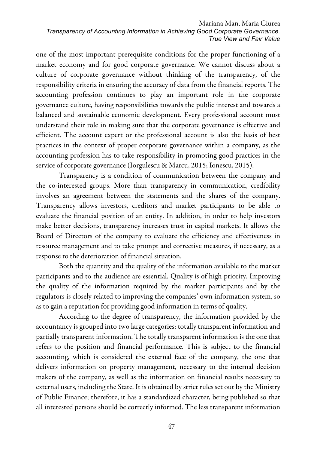one of the most important prerequisite conditions for the proper functioning of a market economy and for good corporate governance. We cannot discuss about a culture of corporate governance without thinking of the transparency, of the responsibility criteria in ensuring the accuracy of data from the financial reports. The accounting profession continues to play an important role in the corporate governance culture, having responsibilities towards the public interest and towards a balanced and sustainable economic development. Every professional account must understand their role in making sure that the corporate governance is effective and efficient. The account expert or the professional account is also the basis of best practices in the context of proper corporate governance within a company, as the accounting profession has to take responsibility in promoting good practices in the service of corporate governance (Iorgulescu & Marcu, 2015; Ionescu, 2015).

Transparency is a condition of communication between the company and the co-interested groups. More than transparency in communication, credibility involves an agreement between the statements and the shares of the company. Transparency allows investors, creditors and market participants to be able to evaluate the financial position of an entity. In addition, in order to help investors make better decisions, transparency increases trust in capital markets. It allows the Board of Directors of the company to evaluate the efficiency and effectiveness in resource management and to take prompt and corrective measures, if necessary, as a response to the deterioration of financial situation.

Both the quantity and the quality of the information available to the market participants and to the audience are essential. Quality is of high priority. Improving the quality of the information required by the market participants and by the regulators is closely related to improving the companies' own information system, so as to gain a reputation for providing good information in terms of quality.

According to the degree of transparency, the information provided by the accountancy is grouped into two large categories: totally transparent information and partially transparent information. The totally transparent information is the one that refers to the position and financial performance. This is subject to the financial accounting, which is considered the external face of the company, the one that delivers information on property management, necessary to the internal decision makers of the company, as well as the information on financial results necessary to external users, including the State. It is obtained by strict rules set out by the Ministry of Public Finance; therefore, it has a standardized character, being published so that all interested persons should be correctly informed. The less transparent information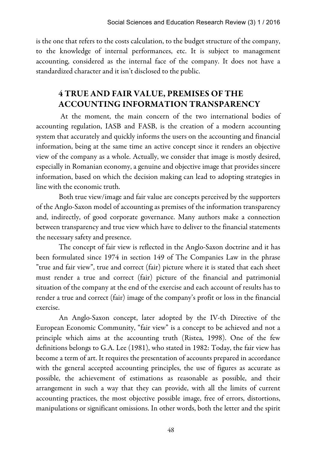is the one that refers to the costs calculation, to the budget structure of the company, to the knowledge of internal performances, etc. It is subject to management accounting, considered as the internal face of the company. It does not have a standardized character and it isn't disclosed to the public.

# 4 TRUE AND FAIR VALUE, PREMISES OF THE ACCOUNTING INFORMATION TRANSPARENCY

At the moment, the main concern of the two international bodies of accounting regulation, IASB and FASB, is the creation of a modern accounting system that accurately and quickly informs the users on the accounting and financial information, being at the same time an active concept since it renders an objective view of the company as a whole. Actually, we consider that image is mostly desired, especially in Romanian economy, a genuine and objective image that provides sincere information, based on which the decision making can lead to adopting strategies in line with the economic truth.

Both true view/image and fair value are concepts perceived by the supporters of the Anglo-Saxon model of accounting as premises of the information transparency and, indirectly, of good corporate governance. Many authors make a connection between transparency and true view which have to deliver to the financial statements the necessary safety and presence.

The concept of fair view is reflected in the Anglo-Saxon doctrine and it has been formulated since 1974 in section 149 of The Companies Law in the phrase "true and fair view", true and correct (fair) picture where it is stated that each sheet must render a true and correct (fair) picture of the financial and patrimonial situation of the company at the end of the exercise and each account of results has to render a true and correct (fair) image of the company's profit or loss in the financial exercise.

An Anglo-Saxon concept, later adopted by the IV-th Directive of the European Economic Community, "fair view" is a concept to be achieved and not a principle which aims at the accounting truth (Ristea, 1998). One of the few definitions belongs to G.A. Lee (1981), who stated in 1982: Today, the fair view has become a term of art. It requires the presentation of accounts prepared in accordance with the general accepted accounting principles, the use of figures as accurate as possible, the achievement of estimations as reasonable as possible, and their arrangement in such a way that they can provide, with all the limits of current accounting practices, the most objective possible image, free of errors, distortions, manipulations or significant omissions. In other words, both the letter and the spirit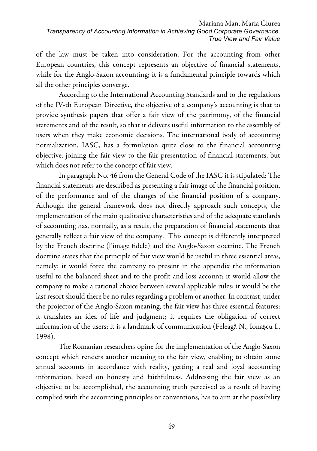of the law must be taken into consideration. For the accounting from other European countries, this concept represents an objective of financial statements, while for the Anglo-Saxon accounting; it is a fundamental principle towards which all the other principles converge.

According to the International Accounting Standards and to the regulations of the IV-th European Directive, the objective of a company's accounting is that to provide synthesis papers that offer a fair view of the patrimony, of the financial statements and of the result, so that it delivers useful information to the assembly of users when they make economic decisions. The international body of accounting normalization, IASC, has a formulation quite close to the financial accounting objective, joining the fair view to the fair presentation of financial statements, but which does not refer to the concept of fair view.

In paragraph No. 46 from the General Code of the IASC it is stipulated: The financial statements are described as presenting a fair image of the financial position, of the performance and of the changes of the financial position of a company. Although the general framework does not directly approach such concepts, the implementation of the main qualitative characteristics and of the adequate standards of accounting has, normally, as a result, the preparation of financial statements that generally reflect a fair view of the company. This concept is differently interpreted by the French doctrine (l'image fidele) and the Anglo-Saxon doctrine. The French doctrine states that the principle of fair view would be useful in three essential areas, namely: it would force the company to present in the appendix the information useful to the balanced sheet and to the profit and loss account; it would allow the company to make a rational choice between several applicable rules; it would be the last resort should there be no rules regarding a problem or another. In contrast, under the projector of the Anglo-Saxon meaning, the fair view has three essential features: it translates an idea of life and judgment; it requires the obligation of correct information of the users; it is a landmark of communication (Feleagă N., Ionașcu I., 1998).

The Romanian researchers opine for the implementation of the Anglo-Saxon concept which renders another meaning to the fair view, enabling to obtain some annual accounts in accordance with reality, getting a real and loyal accounting information, based on honesty and faithfulness. Addressing the fair view as an objective to be accomplished, the accounting truth perceived as a result of having complied with the accounting principles or conventions, has to aim at the possibility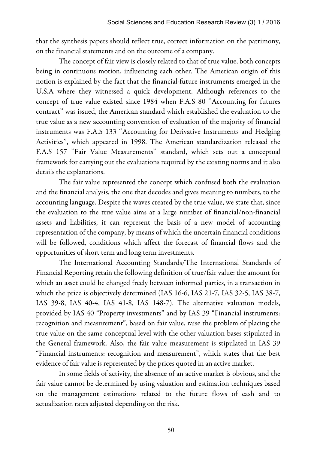that the synthesis papers should reflect true, correct information on the patrimony, on the financial statements and on the outcome of a company.

The concept of fair view is closely related to that of true value, both concepts being in continuous motion, influencing each other. The American origin of this notion is explained by the fact that the financial-future instruments emerged in the U.S.A where they witnessed a quick development. Although references to the concept of true value existed since 1984 when F.A.S 80 ''Accounting for futures contract'' was issued, the American standard which established the evaluation to the true value as a new accounting convention of evaluation of the majority of financial instruments was F.A.S 133 "Accounting for Derivative Instruments and Hedging Activities'', which appeared in 1998. The American standardization released the F.A.S 157 ''Fair Value Measurements'' standard, which sets out a conceptual framework for carrying out the evaluations required by the existing norms and it also details the explanations.

The fair value represented the concept which confused both the evaluation and the financial analysis, the one that decodes and gives meaning to numbers, to the accounting language. Despite the waves created by the true value, we state that, since the evaluation to the true value aims at a large number of financial/non-financial assets and liabilities, it can represent the basis of a new model of accounting representation of the company, by means of which the uncertain financial conditions will be followed, conditions which affect the forecast of financial flows and the opportunities of short term and long term investments.

The International Accounting Standards/The International Standards of Financial Reporting retain the following definition of true/fair value: the amount for which an asset could be changed freely between informed parties, in a transaction in which the price is objectively determined (IAS 16-6, IAS 21-7, IAS 32-5, IAS 38-7, IAS 39-8, IAS 40-4, IAS 41-8, IAS 148-7). The alternative valuation models, provided by IAS 40 "Property investments" and by IAS 39 "Financial instruments: recognition and measurement", based on fair value, raise the problem of placing the true value on the same conceptual level with the other valuation bases stipulated in the General framework. Also, the fair value measurement is stipulated in IAS 39 "Financial instruments: recognition and measurement", which states that the best evidence of fair value is represented by the prices quoted in an active market.

In some fields of activity, the absence of an active market is obvious, and the fair value cannot be determined by using valuation and estimation techniques based on the management estimations related to the future flows of cash and to actualization rates adjusted depending on the risk.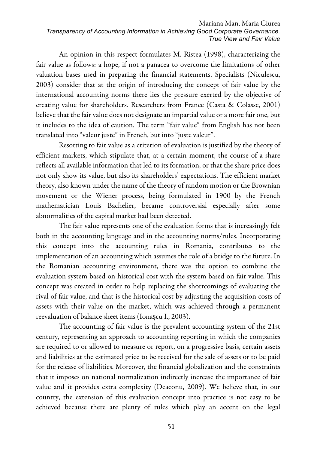An opinion in this respect formulates M. Ristea (1998), characterizing the fair value as follows: a hope, if not a panacea to overcome the limitations of other valuation bases used in preparing the financial statements. Specialists (Niculescu, 2003) consider that at the origin of introducing the concept of fair value by the international accounting norms there lies the pressure exerted by the objective of creating value for shareholders. Researchers from France (Casta & Colasse, 2001) believe that the fair value does not designate an impartial value or a more fair one, but it includes to the idea of caution. The term "fair value" from English has not been translated into "valeur juste" in French, but into "juste valeur".

Resorting to fair value as a criterion of evaluation is justified by the theory of efficient markets, which stipulate that, at a certain moment, the course of a share reflects all available information that led to its formation, or that the share price does not only show its value, but also its shareholders' expectations. The efficient market theory, also known under the name of the theory of random motion or the Brownian movement or the Wiener process, being formulated in 1900 by the French mathematician Louis Bachelier, became controversial especially after some abnormalities of the capital market had been detected.

The fair value represents one of the evaluation forms that is increasingly felt both in the accounting language and in the accounting norms/rules. Incorporating this concept into the accounting rules in Romania, contributes to the implementation of an accounting which assumes the role of a bridge to the future. In the Romanian accounting environment, there was the option to combine the evaluation system based on historical cost with the system based on fair value. This concept was created in order to help replacing the shortcomings of evaluating the rival of fair value, and that is the historical cost by adjusting the acquisition costs of assets with their value on the market, which was achieved through a permanent reevaluation of balance sheet items (Ionașcu I., 2003).

The accounting of fair value is the prevalent accounting system of the 21st century, representing an approach to accounting reporting in which the companies are required to or allowed to measure or report, on a progressive basis, certain assets and liabilities at the estimated price to be received for the sale of assets or to be paid for the release of liabilities. Moreover, the financial globalization and the constraints that it imposes on national normalization indirectly increase the importance of fair value and it provides extra complexity (Deaconu, 2009). We believe that, in our country, the extension of this evaluation concept into practice is not easy to be achieved because there are plenty of rules which play an accent on the legal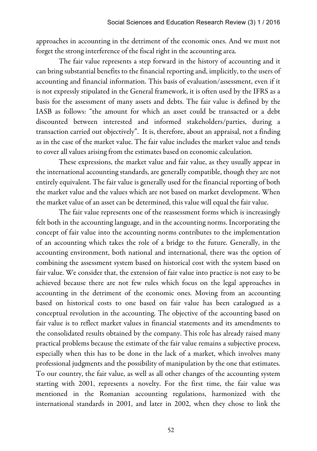approaches in accounting in the detriment of the economic ones. And we must not forget the strong interference of the fiscal right in the accounting area.

The fair value represents a step forward in the history of accounting and it can bring substantial benefits to the financial reporting and, implicitly, to the users of accounting and financial information. This basis of evaluation/assessment, even if it is not expressly stipulated in the General framework, it is often used by the IFRS as a basis for the assessment of many assets and debts. The fair value is defined by the IASB as follows: "the amount for which an asset could be transacted or a debt discounted between interested and informed stakeholders/parties, during a transaction carried out objectively". It is, therefore, about an appraisal, not a finding as in the case of the market value. The fair value includes the market value and tends to cover all values arising from the estimates based on economic calculation.

These expressions, the market value and fair value, as they usually appear in the international accounting standards, are generally compatible, though they are not entirely equivalent. The fair value is generally used for the financial reporting of both the market value and the values which are not based on market development. When the market value of an asset can be determined, this value will equal the fair value.

The fair value represents one of the reassessment forms which is increasingly felt both in the accounting language, and in the accounting norms. Incorporating the concept of fair value into the accounting norms contributes to the implementation of an accounting which takes the role of a bridge to the future. Generally, in the accounting environment, both national and international, there was the option of combining the assessment system based on historical cost with the system based on fair value. We consider that, the extension of fair value into practice is not easy to be achieved because there are not few rules which focus on the legal approaches in accounting in the detriment of the economic ones. Moving from an accounting based on historical costs to one based on fair value has been catalogued as a conceptual revolution in the accounting. The objective of the accounting based on fair value is to reflect market values in financial statements and its amendments to the consolidated results obtained by the company. This role has already raised many practical problems because the estimate of the fair value remains a subjective process, especially when this has to be done in the lack of a market, which involves many professional judgments and the possibility of manipulation by the one that estimates. To our country, the fair value, as well as all other changes of the accounting system starting with 2001, represents a novelty. For the first time, the fair value was mentioned in the Romanian accounting regulations, harmonized with the international standards in 2001, and later in 2002, when they chose to link the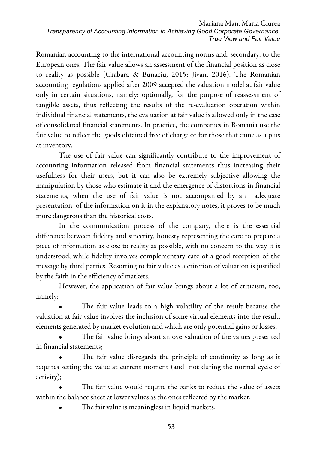Romanian accounting to the international accounting norms and, secondary, to the European ones. The fair value allows an assessment of the financial position as close to reality as possible (Grabara & Bunaciu, 2015; Jivan, 2016). The Romanian accounting regulations applied after 2009 accepted the valuation model at fair value only in certain situations, namely: optionally, for the purpose of reassessment of tangible assets, thus reflecting the results of the re-evaluation operation within individual financial statements, the evaluation at fair value is allowed only in the case of consolidated financial statements. In practice, the companies in Romania use the fair value to reflect the goods obtained free of charge or for those that came as a plus at inventory.

The use of fair value can significantly contribute to the improvement of accounting information released from financial statements thus increasing their usefulness for their users, but it can also be extremely subjective allowing the manipulation by those who estimate it and the emergence of distortions in financial statements, when the use of fair value is not accompanied by an adequate presentation of the information on it in the explanatory notes, it proves to be much more dangerous than the historical costs.

In the communication process of the company, there is the essential difference between fidelity and sincerity, honesty representing the care to prepare a piece of information as close to reality as possible, with no concern to the way it is understood, while fidelity involves complementary care of a good reception of the message by third parties. Resorting to fair value as a criterion of valuation is justified by the faith in the efficiency of markets.

However, the application of fair value brings about a lot of criticism, too, namely:

The fair value leads to a high volatility of the result because the valuation at fair value involves the inclusion of some virtual elements into the result, elements generated by market evolution and which are only potential gains or losses;

The fair value brings about an overvaluation of the values presented in financial statements;

The fair value disregards the principle of continuity as long as it requires setting the value at current moment (and not during the normal cycle of activity);

The fair value would require the banks to reduce the value of assets within the balance sheet at lower values as the ones reflected by the market;

The fair value is meaningless in liquid markets;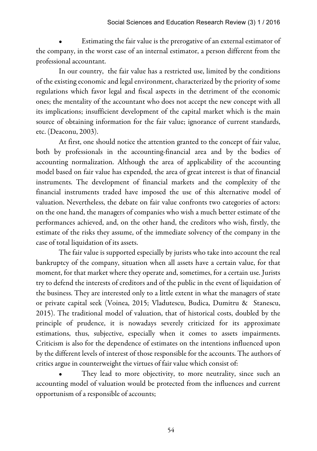Estimating the fair value is the prerogative of an external estimator of the company, in the worst case of an internal estimator, a person different from the professional accountant.

In our country, the fair value has a restricted use, limited by the conditions of the existing economic and legal environment, characterized by the priority of some regulations which favor legal and fiscal aspects in the detriment of the economic ones; the mentality of the accountant who does not accept the new concept with all its implications; insufficient development of the capital market which is the main source of obtaining information for the fair value; ignorance of current standards, etc. (Deaconu, 2003).

At first, one should notice the attention granted to the concept of fair value, both by professionals in the accounting-financial area and by the bodies of accounting normalization. Although the area of applicability of the accounting model based on fair value has expended, the area of great interest is that of financial instruments. The development of financial markets and the complexity of the financial instruments traded have imposed the use of this alternative model of valuation. Nevertheless, the debate on fair value confronts two categories of actors: on the one hand, the managers of companies who wish a much better estimate of the performances achieved, and, on the other hand, the creditors who wish, firstly, the estimate of the risks they assume, of the immediate solvency of the company in the case of total liquidation of its assets.

The fair value is supported especially by jurists who take into account the real bankruptcy of the company, situation when all assets have a certain value, for that moment, for that market where they operate and, sometimes, for a certain use. Jurists try to defend the interests of creditors and of the public in the event of liquidation of the business. They are interested only to a little extent in what the managers of state or private capital seek (Voinea, 2015; Vladutescu, Budica, Dumitru & Stanescu, 2015). The traditional model of valuation, that of historical costs, doubled by the principle of prudence, it is nowadays severely criticized for its approximate estimations, thus, subjective, especially when it comes to assets impairments. Criticism is also for the dependence of estimates on the intentions influenced upon by the different levels of interest of those responsible for the accounts. The authors of critics argue in counterweight the virtues of fair value which consist of:

They lead to more objectivity, to more neutrality, since such an accounting model of valuation would be protected from the influences and current opportunism of a responsible of accounts;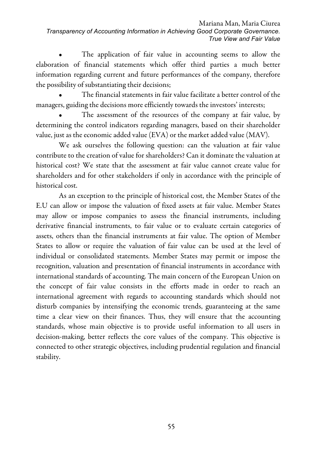The application of fair value in accounting seems to allow the elaboration of financial statements which offer third parties a much better information regarding current and future performances of the company, therefore the possibility of substantiating their decisions;

• The financial statements in fair value facilitate a better control of the managers, guiding the decisions more efficiently towards the investors' interests;

The assessment of the resources of the company at fair value, by determining the control indicators regarding managers, based on their shareholder value, just as the economic added value (EVA) or the market added value (MAV).

We ask ourselves the following question: can the valuation at fair value contribute to the creation of value for shareholders? Can it dominate the valuation at historical cost? We state that the assessment at fair value cannot create value for shareholders and for other stakeholders if only in accordance with the principle of historical cost.

As an exception to the principle of historical cost, the Member States of the E.U can allow or impose the valuation of fixed assets at fair value. Member States may allow or impose companies to assess the financial instruments, including derivative financial instruments, to fair value or to evaluate certain categories of assets, others than the financial instruments at fair value. The option of Member States to allow or require the valuation of fair value can be used at the level of individual or consolidated statements. Member States may permit or impose the recognition, valuation and presentation of financial instruments in accordance with international standards of accounting. The main concern of the European Union on the concept of fair value consists in the efforts made in order to reach an international agreement with regards to accounting standards which should not disturb companies by intensifying the economic trends, guaranteeing at the same time a clear view on their finances. Thus, they will ensure that the accounting standards, whose main objective is to provide useful information to all users in decision-making, better reflects the core values of the company. This objective is connected to other strategic objectives, including prudential regulation and financial stability.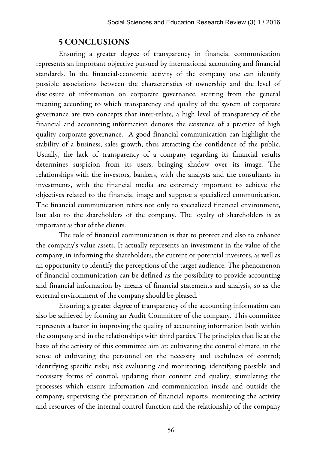### 5 CONCLUSIONS

Ensuring a greater degree of transparency in financial communication represents an important objective pursued by international accounting and financial standards. In the financial-economic activity of the company one can identify possible associations between the characteristics of ownership and the level of disclosure of information on corporate governance, starting from the general meaning according to which transparency and quality of the system of corporate governance are two concepts that inter-relate, a high level of transparency of the financial and accounting information denotes the existence of a practice of high quality corporate governance. A good financial communication can highlight the stability of a business, sales growth, thus attracting the confidence of the public. Usually, the lack of transparency of a company regarding its financial results determines suspicion from its users, bringing shadow over its image. The relationships with the investors, bankers, with the analysts and the consultants in investments, with the financial media are extremely important to achieve the objectives related to the financial image and suppose a specialized communication. The financial communication refers not only to specialized financial environment, but also to the shareholders of the company. The loyalty of shareholders is as important as that of the clients.

The role of financial communication is that to protect and also to enhance the company's value assets. It actually represents an investment in the value of the company, in informing the shareholders, the current or potential investors, as well as an opportunity to identify the perceptions of the target audience. The phenomenon of financial communication can be defined as the possibility to provide accounting and financial information by means of financial statements and analysis, so as the external environment of the company should be pleased.

Ensuring a greater degree of transparency of the accounting information can also be achieved by forming an Audit Committee of the company. This committee represents a factor in improving the quality of accounting information both within the company and in the relationships with third parties. The principles that lie at the basis of the activity of this committee aim at: cultivating the control climate, in the sense of cultivating the personnel on the necessity and usefulness of control; identifying specific risks; risk evaluating and monitoring; identifying possible and necessary forms of control, updating their content and quality; stimulating the processes which ensure information and communication inside and outside the company; supervising the preparation of financial reports; monitoring the activity and resources of the internal control function and the relationship of the company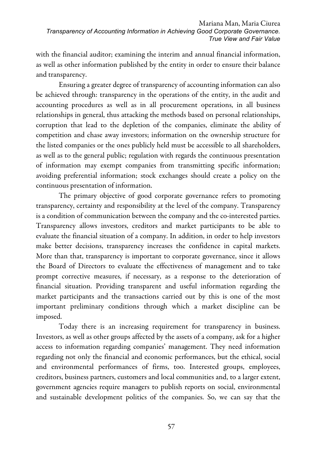with the financial auditor; examining the interim and annual financial information, as well as other information published by the entity in order to ensure their balance and transparency.

Ensuring a greater degree of transparency of accounting information can also be achieved through: transparency in the operations of the entity, in the audit and accounting procedures as well as in all procurement operations, in all business relationships in general, thus attacking the methods based on personal relationships, corruption that lead to the depletion of the companies, eliminate the ability of competition and chase away investors; information on the ownership structure for the listed companies or the ones publicly held must be accessible to all shareholders, as well as to the general public; regulation with regards the continuous presentation of information may exempt companies from transmitting specific information; avoiding preferential information; stock exchanges should create a policy on the continuous presentation of information.

The primary objective of good corporate governance refers to promoting transparency, certainty and responsibility at the level of the company. Transparency is a condition of communication between the company and the co-interested parties. Transparency allows investors, creditors and market participants to be able to evaluate the financial situation of a company. In addition, in order to help investors make better decisions, transparency increases the confidence in capital markets. More than that, transparency is important to corporate governance, since it allows the Board of Directors to evaluate the effectiveness of management and to take prompt corrective measures, if necessary, as a response to the deterioration of financial situation. Providing transparent and useful information regarding the market participants and the transactions carried out by this is one of the most important preliminary conditions through which a market discipline can be imposed.

Today there is an increasing requirement for transparency in business. Investors, as well as other groups affected by the assets of a company, ask for a higher access to information regarding companies' management. They need information regarding not only the financial and economic performances, but the ethical, social and environmental performances of firms, too. Interested groups, employees, creditors, business partners, customers and local communities and, to a larger extent, government agencies require managers to publish reports on social, environmental and sustainable development politics of the companies. So, we can say that the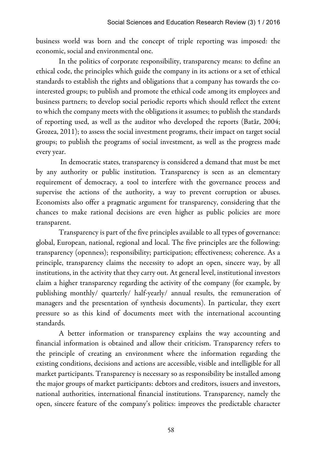business world was born and the concept of triple reporting was imposed: the economic, social and environmental one.

In the politics of corporate responsibility, transparency means: to define an ethical code, the principles which guide the company in its actions or a set of ethical standards to establish the rights and obligations that a company has towards the cointerested groups; to publish and promote the ethical code among its employees and business partners; to develop social periodic reports which should reflect the extent to which the company meets with the obligations it assumes; to publish the standards of reporting used, as well as the auditor who developed the reports (Batâr, 2004; Grozea, 2011); to assess the social investment programs, their impact on target social groups; to publish the programs of social investment, as well as the progress made every year.

In democratic states, transparency is considered a demand that must be met by any authority or public institution. Transparency is seen as an elementary requirement of democracy, a tool to interfere with the governance process and supervise the actions of the authority, a way to prevent corruption or abuses. Economists also offer a pragmatic argument for transparency, considering that the chances to make rational decisions are even higher as public policies are more transparent.

Transparency is part of the five principles available to all types of governance: global, European, national, regional and local. The five principles are the following: transparency (openness); responsibility; participation; effectiveness; coherence. As a principle, transparency claims the necessity to adopt an open, sincere way, by all institutions, in the activity that they carry out. At general level, institutional investors claim a higher transparency regarding the activity of the company (for example, by publishing monthly/ quarterly/ half-yearly/ annual results, the remuneration of managers and the presentation of synthesis documents). In particular, they exert pressure so as this kind of documents meet with the international accounting standards.

A better information or transparency explains the way accounting and financial information is obtained and allow their criticism. Transparency refers to the principle of creating an environment where the information regarding the existing conditions, decisions and actions are accessible, visible and intelligible for all market participants. Transparency is necessary so as responsibility be installed among the major groups of market participants: debtors and creditors, issuers and investors, national authorities, international financial institutions. Transparency, namely the open, sincere feature of the company's politics: improves the predictable character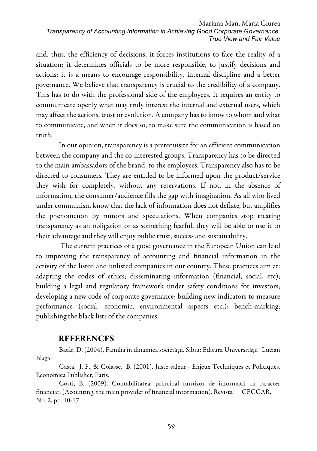and, thus, the efficiency of decisions; it forces institutions to face the reality of a situation; it determines officials to be more responsible, to justify decisions and actions; it is a means to encourage responsibility, internal discipline and a better governance. We believe that transparency is crucial to the credibility of a company. This has to do with the professional side of the employees. It requires an entity to communicate openly what may truly interest the internal and external users, which may affect the actions, trust or evolution. A company has to know to whom and what to communicate, and when it does so, to make sure the communication is based on truth.

In our opinion, transparency is a prerequisite for an efficient communication between the company and the co-interested groups. Transparency has to be directed to the main ambassadors of the brand, to the employees. Transparency also has to be directed to consumers. They are entitled to be informed upon the product/service they wish for completely, without any reservations. If not, in the absence of information, the consumer/audience fills the gap with imagination. As all who lived under communism know that the lack of information does not deflate, but amplifies the phenomenon by rumors and speculations. When companies stop treating transparency as an obligation or as something fearful, they will be able to use it to their advantage and they will enjoy public trust, success and sustainability.

The current practices of a good governance in the European Union can lead to improving the transparency of accounting and financial information in the activity of the listed and unlisted companies in our country. These practices aim at: adapting the codes of ethics; disseminating information (financial, social, etc); building a legal and regulatory framework under safety conditions for investors; developing a new code of corporate governance; building new indicators to measure performance (social, economic, environmental aspects etc.); bench-marking; publishing the black lists of the companies.

### REFERENCES

Batâr, D. (2004). Familia în dinamica societăţii. Sibiu: Editura Universităţii "Lucian Blaga.

Casta, J. F., & Colasse, B. (2001). Juste valeur - Enjeux Techniques et Politiques, Economica Publisher, Paris.

Costi, B. (2009). Contabilitatea, principal furnizor de informatii cu caracter financiar. (Acounting, the main provider of financial intormation). Revista CECCAR, No. 2, pp. 10-17.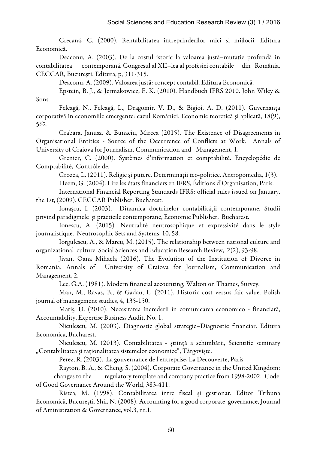Crecană, C. (2000). Rentabilitatea întreprinderilor mici şi mijlocii. Editura Economică.

Deaconu, A. (2003). De la costul istoric la valoarea justă–mutație profundă în contabilitatea contemporană. Congresul al XII–lea al profesiei contabile din România, CECCAR, București: Editura, р, 311-315.

Deaconu, A. (2009). Valoarea justă: concept contabil. Editura Economică.

Epstein, B. J., & Jermakowicz, E. K. (2010). Handbuch IFRS 2010. John Wiley & Sons.

Feleagă, N., Feleagă, L., Dragomir, V. D., & Bigioi, A. D. (2011). Guvernanţa corporativă în economiile emergente: cazul României. Economie teoretică şi aplicată, 18(9), 562.

Grabara, Janusz, & Bunaciu, Mircea (2015). The Existence of Disagreements in Organisational Entities - Source of the Occurrence of Conflicts at Work. Annals of University of Craiova for Journalism, Communication and Management, 1.

Grenier, C. (2000). Systèmes d'information et comptabilité. Encyclopédie de Comptabilité, Contrôle de.

Grozea, L. (2011). Religie şi putere. Determinaţii teo-politice. Antropomedia, 1(3).

Heem, G. (2004). Lire les états financiers en IFRS, Éditions d'Organisation, Paris.

International Financial Reporting Standards IFRS: official rules issued on January, the 1st, (2009). CECCAR Publisher, Bucharest.

Ionașcu, I. (2003). Dinamica doctrinelor contabilității contemporane. Studii privind paradigmele şi practicile contemporane, Economic Publisher, Bucharest.

Ionescu, A. (2015). Neutralité neutrosophique et expressivité dans le style journalistique. Neutrosophic Sets and Systems, 10, 58.

Iorgulescu, A., & Marcu, M. (2015). The relationship between national culture and organizational culture. Social Sciences and Education Research Review, 2(2), 93-98.

Jivan, Oana Mihaela (2016). The Evolution of the Institution of Divorce in Romania. Annals of University of Craiova for Journalism, Communication and Management, 2.

Lee, G.A. (1981). Modern financial accounting, Walton on Thames, Survey.

Man, M., Ravas, B., & Gadau, L. (2011). Historic cost versus fair value. Polish journal of management studies, 4, 135-150.

Matiş, D. (2010). Necesitatea încrederii în comunicarea economico - financiară, Accountability, Expertise Business Audit, No. 1.

Niculescu, M. (2003). Diagnostic global strategic–Diagnostic financiar. Editura Economica, Bucharest.

Niculescu, M. (2013). Contabilitatea - știință a schimbării, Scientific seminary "Contabilitatea și raționalitatea sistemelor economice", Târgoviște.

Perez, R. (2003). La gouvernance de l'entreprise, La Decouverte, Paris.

Rayton, B. A., & Cheng, S. (2004). Corporate Governance in the United Kingdom: changes to the regulatory template and company practice from 1998-2002. Code of Good Governance Around the World, 383-411.

Ristea, M. (1998). Contabilitatea între fiscal şi gestionar. Editor Tribuna Economică, Bucureşti. Shil, N. (2008). Accounting for a good corporate governance, Journal of Aministration & Governance, vol.3, nr.1.